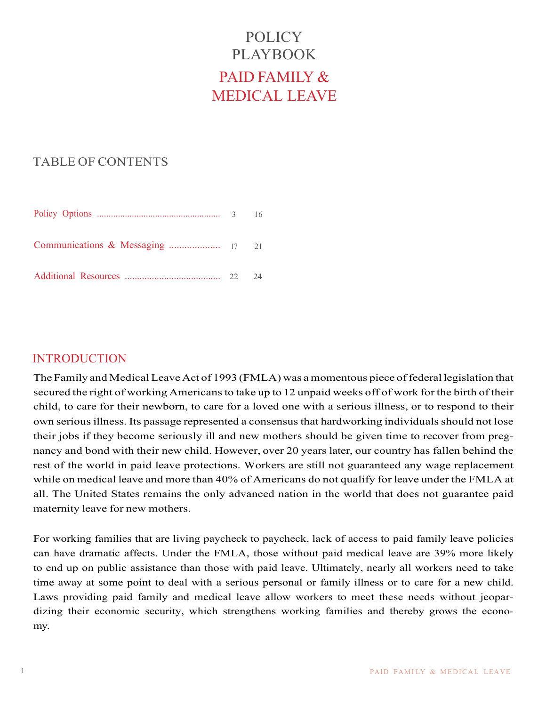# POLICY PLAYBOOK PAID FAMILY & MEDICAL LEAVE

## TABLE OF CONTENTS

|  | - 16 |
|--|------|
|  |      |
|  | 24   |

## **INTRODUCTION**

The Family and Medical Leave Act of 1993 (FMLA) was a momentous piece of federal legislation that secured the right of working Americans to take up to 12 unpaid weeks off of work for the birth of their child, to care for their newborn, to care for a loved one with a serious illness, or to respond to their own serious illness. Its passage represented a consensus that hardworking individuals should not lose their jobs if they become seriously ill and new mothers should be given time to recover from pregnancy and bond with their new child. However, over 20 years later, our country has fallen behind the rest of the world in paid leave protections. Workers are still not guaranteed any wage replacement while on medical leave and more than 40% of Americans do not qualify for leave under the FMLA at all. The United States remains the only advanced nation in the world that does not guarantee paid maternity leave for new mothers.

For working families that are living paycheck to paycheck, lack of access to paid family leave policies can have dramatic affects. Under the FMLA, those without paid medical leave are 39% more likely to end up on public assistance than those with paid leave. Ultimately, nearly all workers need to take time away at some point to deal with a serious personal or family illness or to care for a new child. Laws providing paid family and medical leave allow workers to meet these needs without jeopardizing their economic security, which strengthens working families and thereby grows the economy.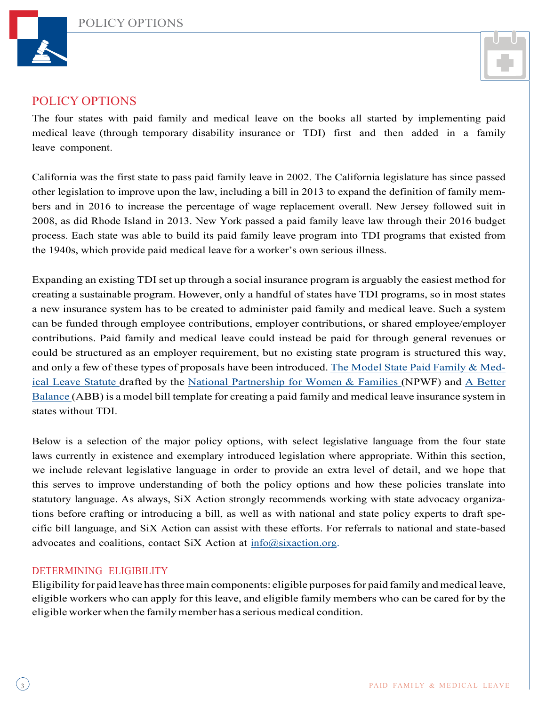



## POLICY OPTIONS

The four states with paid family and medical leave on the books all started by implementing paid medical leave (through temporary disability insurance or TDI) first and then added in a family leave component.

California was the first state to pass paid family leave in 2002. The California legislature has since passed other legislation to improve upon the law, including a bill in 2013 to expand the definition of family members and in 2016 to increase the percentage of wage replacement overall. New Jersey followed suit in 2008, as did Rhode Island in 2013. New York passed a paid family leave law through their 2016 budget process. Each state was able to build its paid family leave program into TDI programs that existed from the 1940s, which provide paid medical leave for a worker's own serious illness.

Expanding an existing TDI set up through a social insurance program is arguably the easiest method for creating a sustainable program. However, only a handful of states have TDI programs, so in most states a new insurance system has to be created to administer paid family and medical leave. Such a system can be funded through employee contributions, employer contributions, or shared employee/employer contributions. Paid family and medical leave could instead be paid for through general revenues or could be structured as an employer requirement, but no existing state program is structured this way, and only a few of these types of proposals have been introduced. The Model State Paid Family & Medical Leave Statute drafted by the National Partnership for Women & Families (NPWF) and A Better Balance (ABB) is a model bill template for creating a paid family and medical leave insurance system in states without TDI.

Below is a selection of the major policy options, with select legislative language from the four state laws currently in existence and exemplary introduced legislation where appropriate. Within this section, we include relevant legislative language in order to provide an extra level of detail, and we hope that this serves to improve understanding of both the policy options and how these policies translate into statutory language. As always, SiX Action strongly recommends working with state advocacy organizations before crafting or introducing a bill, as well as with national and state policy experts to draft specific bill language, and SiX Action can assist with these efforts. For referrals to national and state-based advocates and coalitions, contact SiX Action at info@sixaction.org.

## DETERMINING ELIGIBILITY

Eligibility for paid leave has three main components: eligible purposes for paid family and medical leave, eligible workers who can apply for this leave, and eligible family members who can be cared for by the eligible worker when the family member has a serious medical condition.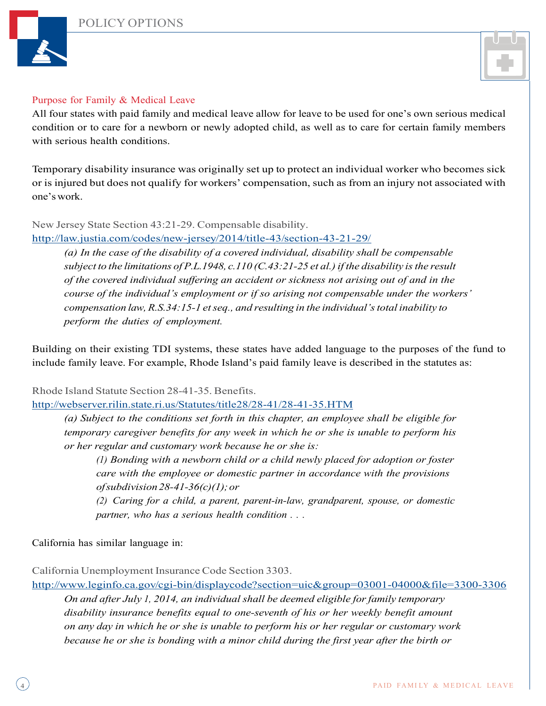



#### Purpose for Family & Medical Leave

All four states with paid family and medical leave allow for leave to be used for one's own serious medical condition or to care for a newborn or newly adopted child, as well as to care for certain family members with serious health conditions.

Temporary disability insurance was originally set up to protect an individual worker who becomes sick or is injured but does not qualify for workers' compensation, such as from an injury not associated with one'swork.

New Jersey State Section 43:21-29. Compensable disability.

http://law.justia.com/codes/new-jersey/2014/title-43/section-43-21-29/

*(a) In the case of the disability of a covered individual, disability shall be compensable subject to the limitations of P.L.1948, c.110 (C.43:21-25 et al.)if the disability isthe result of the covered individual suffering an accident or sickness not arising out of and in the course of the individual's employment or if so arising not compensable under the workers' compensation law,R.S.34:15-1 etseq., and resulting in the individual'stotal inability to perform the duties of employment.*

Building on their existing TDI systems, these states have added language to the purposes of the fund to include family leave. For example, Rhode Island's paid family leave is described in the statutes as:

Rhode Island Statute Section 28-41-35. Benefits.

http://webserver.rilin.state.ri.us/Statutes/title28/28-41/28-41-35.HTM

*(a) Subject to the conditions set forth in this chapter, an employee shall be eligible for temporary caregiver benefits for any week in which he or she is unable to perform his or her regular and customary work because he or she is:*

*(1) Bonding with a newborn child or a child newly placed for adoption or foster care with the employee or domestic partner in accordance with the provisions ofsubdivision28-41-36(c)(1);or*

*(2) Caring for a child, a parent, parent-in-law, grandparent, spouse, or domestic partner, who has a serious health condition . . .*

California has similar language in:

California Unemployment Insurance Code Section 3303.

http://www.leginfo.ca.gov/cgi-bin/displaycode?section=uic&group=03001-04000&file=3300-3306

*On and after July 1, 2014, an individual shall be deemed eligible for family temporary disability insurance benefits equal to one-seventh of his or her weekly benefit amount on any day in which he or she is unable to perform his or her regular or customary work because he or she is bonding with a minor child during the first year after the birth or*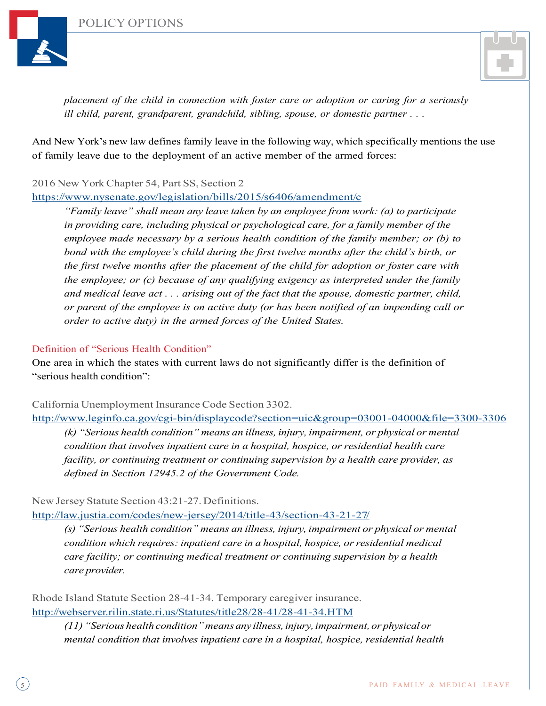





*placement of the child in connection with foster care or adoption or caring for a seriously ill child, parent, grandparent, grandchild, sibling, spouse, or domestic partner . . .*

And New York's new law defines family leave in the following way, which specifically mentions the use of family leave due to the deployment of an active member of the armed forces:

2016 New YorkChapter 54, Part SS, Section 2

https://www.nysenate.gov/legislation/bills/2015/s6406/amendment/c

*"Family leave" shall mean any leave taken by an employee from work: (a) to participate in providing care, including physical or psychological care, for a family member of the employee made necessary by a serious health condition of the family member; or (b) to bond with the employee's child during the first twelve months after the child's birth, or the first twelve months after the placement of the child for adoption or foster care with the employee; or (c) because of any qualifying exigency as interpreted under the family and medical leave act . . . arising out of the fact that the spouse, domestic partner, child, or parent of the employee is on active duty (or has been notified of an impending call or order to active duty) in the armed forces of the United States.*

#### Definition of "Serious Health Condition"

One area in which the states with current laws do not significantly differ is the definition of "serious health condition":

California Unemployment Insurance Code Section 3302.

http://www.leginfo.ca.gov/cgi-bin/displaycode?section=uic&group=03001-04000&file=3300-3306

*(k) "Serious health condition" means an illness, injury, impairment, or physical or mental condition that involves inpatient care in a hospital, hospice, or residential health care facility, or continuing treatment or continuing supervision by a health care provider, as defined in Section 12945.2 of the Government Code.*

New Jersey Statute Section 43:21-27. Definitions.

http://law.justia.com/codes/new-jersey/2014/title-43/section-43-21-27/

*(s) "Serious health condition" means an illness, injury, impairment or physical or mental condition which requires: inpatient care in a hospital, hospice, or residential medical care facility; or continuing medical treatment or continuing supervision by a health care provider.*

Rhode Island Statute Section 28-41-34. Temporary caregiver insurance. http://webserver.rilin.state.ri.us/Statutes/title28/28-41/28-41-34.HTM

*(11)"Serious health condition"means any illness,injury,impairment, or physicalor mental condition that involves inpatient care in a hospital, hospice, residential health*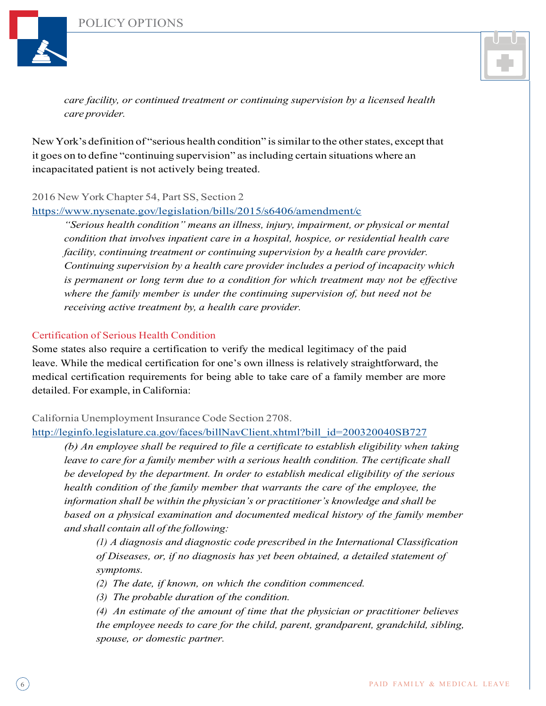

*care facility, or continued treatment or continuing supervision by a licensed health care provider.*

New York's definition of "serious health condition" is similar to the other states, except that it goes on to define "continuing supervision" asincluding certain situations where an incapacitated patient is not actively being treated.

#### 2016 New YorkChapter 54, Part SS, Section 2

https://www.nysenate.gov/legislation/bills/2015/s6406/amendment/c

*"Serious health condition" means an illness, injury, impairment, or physical or mental condition that involves inpatient care in a hospital, hospice, or residential health care facility, continuing treatment or continuing supervision by a health care provider. Continuing supervision by a health care provider includes a period of incapacity which is permanent or long term due to a condition for which treatment may not be effective where the family member is under the continuing supervision of, but need not be receiving active treatment by, a health care provider.*

#### Certification of Serious Health Condition

Some states also require a certification to verify the medical legitimacy of the paid leave. While the medical certification for one's own illness is relatively straightforward, the medical certification requirements for being able to take care of a family member are more detailed. For example, in California:

#### California Unemployment Insurance Code Section 2708.

http://leginfo.legislature.ca.gov/faces/billNavClient.xhtml?bill\_id=200320040SB727

*(b) An employee shall be required to file a certificate to establish eligibility when taking leave to care for a family member with a serious health condition. The certificate shall be developed by the department. In order to establish medical eligibility of the serious health condition of the family member that warrants the care of the employee, the information shall be within the physician's or practitioner's knowledge and shall be based on a physical examination and documented medical history of the family member and shall contain all of the following:*

*(1) A diagnosis and diagnostic code prescribed in the International Classification of Diseases, or, if no diagnosis has yet been obtained, a detailed statement of symptoms.*

*(2) The date, if known, on which the condition commenced.*

*(3) The probable duration of the condition.*

*(4) An estimate of the amount of time that the physician or practitioner believes the employee needs to care for the child, parent, grandparent, grandchild, sibling, spouse, or domestic partner.*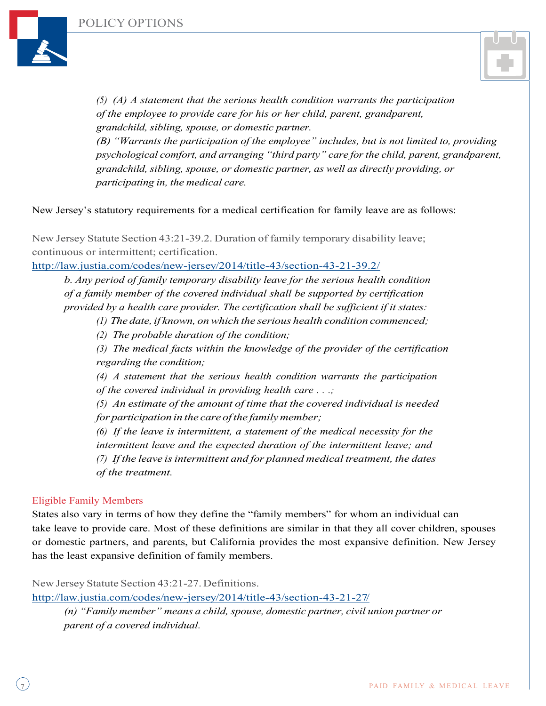



*(5) (A) A statement that the serious health condition warrants the participation of the employee to provide care for his or her child, parent, grandparent, grandchild, sibling, spouse, or domestic partner.*

*(B) "Warrants the participation of the employee" includes, but is not limited to, providing psychological comfort, and arranging "third party" care forthe child, parent, grandparent, grandchild, sibling, spouse, or domestic partner, as well as directly providing, or participating in, the medical care.*

#### New Jersey's statutory requirements for a medical certification for family leave are as follows:

New Jersey Statute Section 43:21-39.2. Duration of family temporary disability leave; continuous or intermittent; certification.

http://law.justia.com/codes/new-jersey/2014/title-43/section-43-21-39.2/

*b. Any period of family temporary disability leave for the serious health condition of a family member of the covered individual shall be supported by certification provided by a health care provider. The certification shall be sufficient if it states:*

*(1) The date, if known, onwhich the serious health condition commenced;*

*(2) The probable duration of the condition;*

*(3) The medical facts within the knowledge of the provider of the certification regarding the condition;*

*(4) A statement that the serious health condition warrants the participation of the covered individual in providing health care . . .;*

*(5) An estimate of the amount of time that the covered individual is needed for participation in the care ofthe familymember;*

*(6) If the leave is intermittent, a statement of the medical necessity for the intermittent leave and the expected duration of the intermittent leave; and (7) If the leave isintermittent and for planned medical treatment, the dates of the treatment.*

#### Eligible Family Members

States also vary in terms of how they define the "family members" for whom an individual can take leave to provide care. Most of these definitions are similar in that they all cover children, spouses or domestic partners, and parents, but California provides the most expansive definition. New Jersey has the least expansive definition of family members.

New Jersey Statute Section 43:21-27. Definitions.

http://law.justia.com/codes/new-jersey/2014/title-43/section-43-21-27/

*(n) "Family member" means a child, spouse, domestic partner, civil union partner or parent of a covered individual.*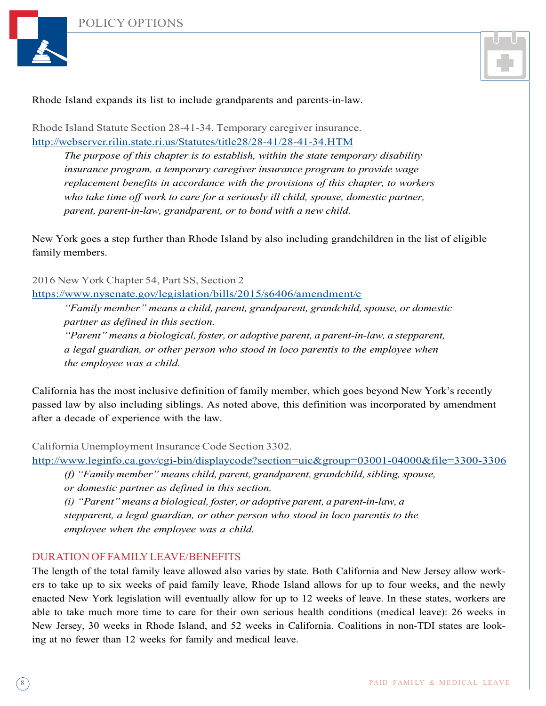



#### Rhode Island expands its list to include grandparents and parents-in-law.

Rhode Island Statute Section 28-41-34. Temporary caregiver insurance. http://webserver.rilin.state.ri.us/Statutes/title28/28-41/28-41-34.HTM

*The purpose of this chapter is to establish, within the state temporary disability insurance program, a temporary caregiver insurance program to provide wage replacement benefits in accordance with the provisions of this chapter, to workers who take time off work to care for a seriously ill child, spouse, domestic partner, parent, parent-in-law, grandparent, or to bond with a new child.*

New York goes a step further than Rhode Island by also including grandchildren in the list of eligible family members.

2016 New YorkChapter 54, Part SS, Section 2

https://www.nysenate.gov/legislation/bills/2015/s6406/amendment/c

*"Family member" means a child, parent, grandparent, grandchild, spouse, or domestic partner as defined in this section.*

*"Parent" means a biological, foster, or adoptive parent, a parent-in-law, a stepparent, a legal guardian, or other person who stood in loco parentis to the employee when the employee was a child.*

California has the most inclusive definition of family member, which goes beyond New York's recently passed law by also including siblings. As noted above, this definition was incorporated by amendment after a decade of experience with the law.

California Unemployment Insurance Code Section 3302.

http://www.leginfo.ca.gov/cgi-bin/displaycode?section=uic&group=03001-04000&file=3300-3306

*(f) "Family member" means child, parent, grandparent, grandchild,sibling,spouse, or domestic partner as defined in this section.*

*(i) "Parent" means a biological, foster, or adoptive parent, a parent-in-law, a stepparent, a legal guardian, or other person who stood in loco parentis to the employee when the employee was a child.*

#### DURATION OF FAMILY LEAVE/BENEFITS

The length of the total family leave allowed also varies by state. Both California and New Jersey allow workers to take up to six weeks of paid family leave, Rhode Island allows for up to four weeks, and the newly enacted New York legislation will eventually allow for up to 12 weeks of leave. In these states, workers are able to take much more time to care for their own serious health conditions (medical leave): 26 weeks in New Jersey, 30 weeks in Rhode Island, and 52 weeks in California. Coalitions in non-TDI states are looking at no fewer than 12 weeks for family and medical leave.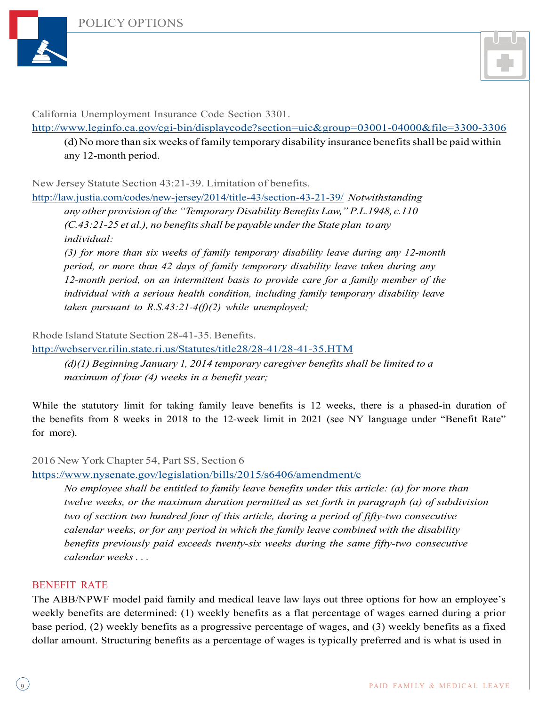



California Unemployment Insurance Code Section 3301.

http://www.leginfo.ca.gov/cgi-bin/displaycode?section=uic&group=03001-04000&file=3300-3306

(d) No more than six weeks of family temporary disability insurance benefits shall be paid within any 12-month period.

New Jersey Statute Section 43:21-39. Limitation of benefits.

http://law.justia.com/codes/new-jersey/2014/title-43/section-43-21-39/ *Notwithstanding any other provision of the "Temporary Disability Benefits Law,"P.L.1948, c.110 (C.43:21-25 et al.), no benefitsshall be payable underthe State plan toany individual:*

*(3) for more than six weeks of family temporary disability leave during any 12-month period, or more than 42 days of family temporary disability leave taken during any 12-month period, on an intermittent basis to provide care for a family member of the individual with a serious health condition, including family temporary disability leave taken pursuant to R.S.43:21-4(f)(2) while unemployed;*

Rhode Island Statute Section 28-41-35. Benefits.

http://webserver.rilin.state.ri.us/Statutes/title28/28-41/28-41-35.HTM

*(d)(1) Beginning January 1, 2014 temporary caregiver benefits shall be limited to a maximum of four (4) weeks in a benefit year;*

While the statutory limit for taking family leave benefits is 12 weeks, there is a phased-in duration of the benefits from 8 weeks in 2018 to the 12-week limit in 2021 (see NY language under "Benefit Rate" for more).

#### 2016 New York Chapter 54, Part SS, Section 6

https://www.nysenate.gov/legislation/bills/2015/s6406/amendment/c

*No employee shall be entitled to family leave benefits under this article: (a) for more than twelve weeks, or the maximum duration permitted as set forth in paragraph (a) of subdivision two of section two hundred four of this article, during a period of fifty-two consecutive calendar weeks, or for any period in which the family leave combined with the disability benefits previously paid exceeds twenty-six weeks during the same fifty-two consecutive calendar weeks . . .*

#### BENEFIT RATE

The ABB/NPWF model paid family and medical leave law lays out three options for how an employee's weekly benefits are determined: (1) weekly benefits as a flat percentage of wages earned during a prior base period, (2) weekly benefits as a progressive percentage of wages, and (3) weekly benefits as a fixed dollar amount. Structuring benefits as a percentage of wages is typically preferred and is what is used in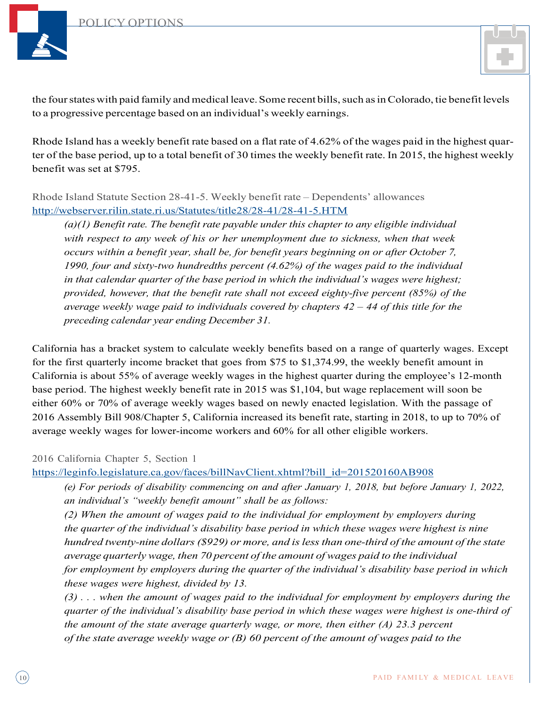

the four states with paid family and medical leave. Some recent bills, such as in Colorado, tie benefit levels to a progressive percentage based on an individual's weekly earnings.

Rhode Island has a weekly benefit rate based on a flat rate of 4.62% of the wages paid in the highest quarter of the base period, up to a total benefit of 30 times the weekly benefit rate. In 2015, the highest weekly benefit was set at \$795.

Rhode Island Statute Section 28-41-5. Weekly benefit rate – Dependents' allowances http://webserver.rilin.state.ri.us/Statutes/title28/28-41/28-41-5.HTM

*(a)(1) Benefit rate. The benefit rate payable under this chapter to any eligible individual with respect to any week of his or her unemployment due to sickness, when that week occurs within a benefit year, shall be, for benefit years beginning on or after October 7, 1990, four and sixty-two hundredths percent (4.62%) of the wages paid to the individual in that calendar quarter of the base period in which the individual's wages were highest; provided, however, that the benefit rate shall not exceed eighty-five percent (85%) of the average weekly wage paid to individuals covered by chapters 42 – 44 of this title for the preceding calendar year ending December 31.*

California has a bracket system to calculate weekly benefits based on a range of quarterly wages. Except for the first quarterly income bracket that goes from \$75 to \$1,374.99, the weekly benefit amount in California is about 55% of average weekly wages in the highest quarter during the employee's 12-month base period. The highest weekly benefit rate in 2015 was \$1,104, but wage replacement will soon be either 60% or 70% of average weekly wages based on newly enacted legislation. With the passage of 2016 Assembly Bill 908/Chapter 5, California increased its benefit rate, starting in 2018, to up to 70% of average weekly wages for lower-income workers and 60% for all other eligible workers.

2016 California Chapter 5, Section 1

https://leginfo.legislature.ca.gov/faces/billNavClient.xhtml?bill\_id=201520160AB908

*(e) For periods of disability commencing on and after January 1, 2018, but before January 1, 2022, an individual's "weekly benefit amount" shall be as follows:*

*(2) When the amount of wages paid to the individual for employment by employers during the quarter of the individual's disability base period in which these wages were highest is nine hundred twenty-nine dollars(\$929) or more, and islessthan one-third of the amount of the state average quarterly wage, then 70 percent of the amount of wages paid to the individual for employment by employers during the quarter of the individual's disability base period in which these wages were highest, divided by 13.*

 $(3)$ ... when the amount of wages paid to the individual for employment by employers during the *quarter of the individual's disability base period in which these wages were highest is one-third of the amount of the state average quarterly wage, or more, then either (A) 23.3 percent of the state average weekly wage or (B) 60 percent of the amount of wages paid to the*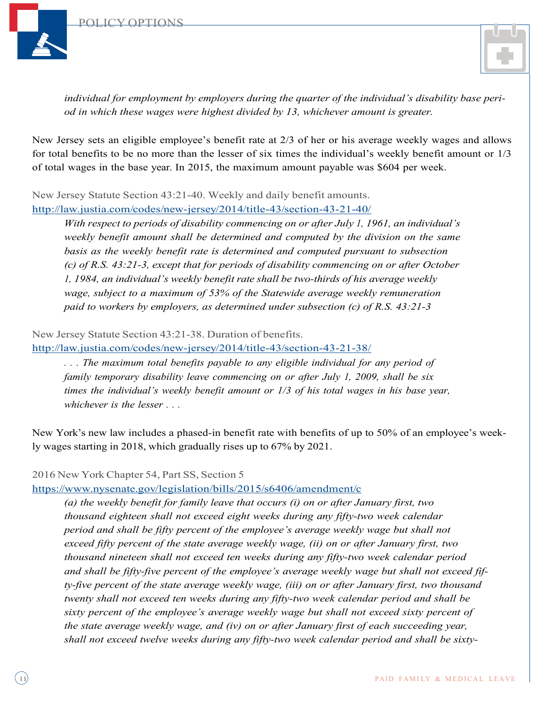

*individual for employment by employers during the quarter of the individual's disability base period in which these wages were highest divided by 13, whichever amount is greater.*

New Jersey sets an eligible employee's benefit rate at 2/3 of her or his average weekly wages and allows for total benefits to be no more than the lesser of six times the individual's weekly benefit amount or 1/3 of total wages in the base year. In 2015, the maximum amount payable was \$604 per week.

New Jersey Statute Section 43:21-40. Weekly and daily benefit amounts. http://law.justia.com/codes/new-jersey/2014/title-43/section-43-21-40/

*With respect to periods of disability commencing on or after July 1, 1961, an individual's weekly benefit amount shall be determined and computed by the division on the same basis as the weekly benefit rate is determined and computed pursuant to subsection (c) of R.S. 43:21-3, except that for periods of disability commencing on or after October 1, 1984, an individual's weekly benefit rate shall be two-thirds of his average weekly wage, subject to a maximum of 53% of the Statewide average weekly remuneration paid to workers by employers, as determined under subsection (c) of R.S. 43:21-3*

New Jersey Statute Section 43:21-38. Duration of benefits.

http://law.justia.com/codes/new-jersey/2014/title-43/section-43-21-38/

*. . . The maximum total benefits payable to any eligible individual for any period of family temporary disability leave commencing on or after July 1, 2009, shall be six times the individual's weekly benefit amount or 1/3 of his total wages in his base year, whichever is the lesser . . .*

New York's new law includes a phased-in benefit rate with benefits of up to 50% of an employee's weekly wages starting in 2018, which gradually rises up to 67% by 2021.

2016 New YorkChapter 54, Part SS, Section 5

https://www.nysenate.gov/legislation/bills/2015/s6406/amendment/c

*(a) the weekly benefit for family leave that occurs (i) on or after January first, two thousand eighteen shall not exceed eight weeks during any fifty-two week calendar period and shall be fifty percent of the employee's average weekly wage but shall not exceed fifty percent of the state average weekly wage, (ii) on or after January first, two thousand nineteen shall not exceed ten weeks during any fifty-two week calendar period and shall be fifty-five percent of the employee's average weekly wage but shall not exceed fifty-five percent of the state average weekly wage, (iii) on or after January first, two thousand twenty shall not exceed ten weeks during any fifty-two week calendar period and shall be sixty percent of the employee's average weekly wage but shall not exceed sixty percent of the state average weekly wage, and (iv) on or after January first of each succeeding year, shall not exceed twelve weeks during any fifty-two week calendar period and shall be sixty-*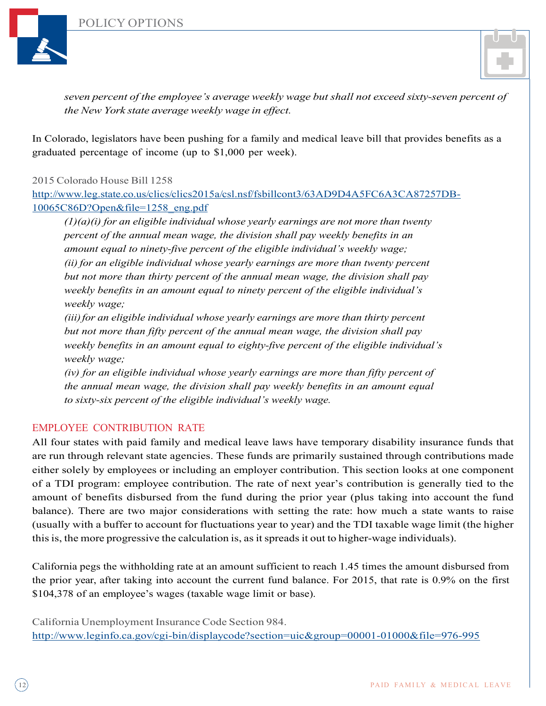

*seven percent of the employee's average weekly wage but shall not exceed sixty-seven percent of the New York state average weekly wage in effect.*

In Colorado, legislators have been pushing for a family and medical leave bill that provides benefits as a graduated percentage of income (up to \$1,000 per week).

2015 Colorado House Bill 1258

http://www.leg.state.co.us/clics/clics2015a/csl.nsf/fsbillcont3/63AD9D4A5FC6A3CA87257DB-10065C86D?Open&file=1258\_eng.pdf

*(1)(a)(i) for an eligible individual whose yearly earnings are not more than twenty percent of the annual mean wage, the division shall pay weekly benefits in an amount equal to ninety-five percent of the eligible individual's weekly wage; (ii) for an eligible individual whose yearly earnings are more than twenty percent but not more than thirty percent of the annual mean wage, the division shall pay weekly benefits in an amount equal to ninety percent of the eligible individual's weekly wage;*

*(iii)for an eligible individual whose yearly earnings are more than thirty percent but not more than fifty percent of the annual mean wage, the division shall pay weekly benefits in an amount equal to eighty-five percent of the eligible individual's weekly wage;*

*(iv) for an eligible individual whose yearly earnings are more than fifty percent of the annual mean wage, the division shall pay weekly benefits in an amount equal to sixty-six percent of the eligible individual's weekly wage.*

## EMPLOYEE CONTRIBUTION RATE

All four states with paid family and medical leave laws have temporary disability insurance funds that are run through relevant state agencies. These funds are primarily sustained through contributions made either solely by employees or including an employer contribution. This section looks at one component of a TDI program: employee contribution. The rate of next year's contribution is generally tied to the amount of benefits disbursed from the fund during the prior year (plus taking into account the fund balance). There are two major considerations with setting the rate: how much a state wants to raise (usually with a buffer to account for fluctuations year to year) and the TDI taxable wage limit (the higher this is, the more progressive the calculation is, as it spreads it out to higher-wage individuals).

California pegs the withholding rate at an amount sufficient to reach 1.45 times the amount disbursed from the prior year, after taking into account the current fund balance. For 2015, that rate is 0.9% on the first \$104,378 of an employee's wages (taxable wage limit or base).

California Unemployment Insurance Code Section 984. http://www.leginfo.ca.gov/cgi-bin/displaycode?section=uic&group=00001-01000&file=976-995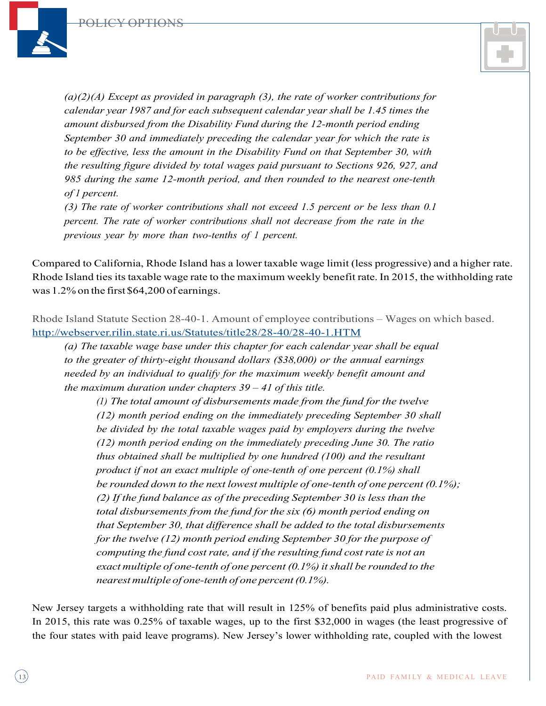

*(a)(2)(A) Except as provided in paragraph (3), the rate of worker contributions for calendar year 1987 and for each subsequent calendar year shall be 1.45 times the amount disbursed from the Disability Fund during the 12-month period ending September 30 and immediately preceding the calendar year for which the rate is to be effective, less the amount in the Disability Fund on that September 30, with the resulting figure divided by total wages paid pursuant to Sections 926, 927, and 985 during the same 12-month period, and then rounded to the nearest one-tenth of 1 percent.*

*(3) The rate of worker contributions shall not exceed 1.5 percent or be less than 0.1 percent. The rate of worker contributions shall not decrease from the rate in the previous year by more than two-tenths of 1 percent.*

Compared to California, Rhode Island has a lower taxable wage limit (less progressive) and a higher rate. Rhode Island ties its taxable wage rate to the maximum weekly benefit rate. In 2015, the withholding rate was 1.2% on the first \$64,200 of earnings.

Rhode Island Statute Section 28-40-1. Amount of employee contributions – Wages on which based. http://webserver.rilin.state.ri.us/Statutes/title28/28-40/28-40-1.HTM

*(a) The taxable wage base under this chapter for each calendar year shall be equal to the greater of thirty-eight thousand dollars (\$38,000) or the annual earnings needed by an individual to qualify for the maximum weekly benefit amount and the maximum duration under chapters 39 – 41 of this title.*

*(1) The total amount of disbursements made from the fund for the twelve (12) month period ending on the immediately preceding September 30 shall be divided by the total taxable wages paid by employers during the twelve (12) month period ending on the immediately preceding June 30. The ratio thus obtained shall be multiplied by one hundred (100) and the resultant product if not an exact multiple of one-tenth of one percent (0.1%) shall be rounded down to the next lowest multiple of one-tenth of one percent (0.1%); (2) If the fund balance as of the preceding September 30 is less than the total disbursements from the fund for the six (6) month period ending on that September 30, that difference shall be added to the total disbursements for the twelve (12) month period ending September 30 for the purpose of computing the fund costrate, and if the resulting fund costrate is not an exact multiple of one-tenth of one percent (0.1%)itshall be rounded to the nearestmultiple of one-tenth of one percent(0.1%).*

New Jersey targets a withholding rate that will result in 125% of benefits paid plus administrative costs. In 2015, this rate was 0.25% of taxable wages, up to the first \$32,000 in wages (the least progressive of the four states with paid leave programs). New Jersey's lower withholding rate, coupled with the lowest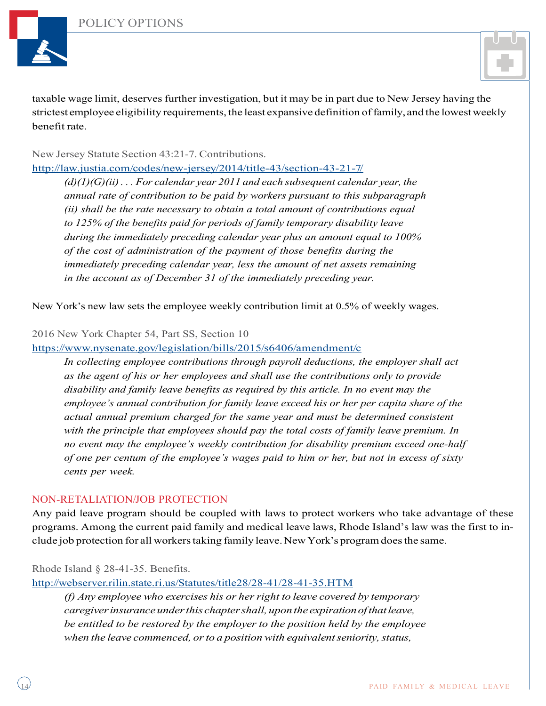

taxable wage limit, deserves further investigation, but it may be in part due to New Jersey having the strictest employee eligibility requirements, the least expansive definition of family, and the lowest weekly benefit rate.

## New Jersey Statute Section 43:21-7. Contributions.

http://law.justia.com/codes/new-jersey/2014/title-43/section-43-21-7/

*(d)(1)(G)(ii) . . . For calendar year 2011 and each subsequent calendar year, the annual rate of contribution to be paid by workers pursuant to this subparagraph (ii) shall be the rate necessary to obtain a total amount of contributions equal to 125% of the benefits paid for periods of family temporary disability leave during the immediately preceding calendar year plus an amount equal to 100% of the cost of administration of the payment of those benefits during the immediately preceding calendar year, less the amount of net assets remaining in the account as of December 31 of the immediately preceding year.*

New York's new law sets the employee weekly contribution limit at 0.5% of weekly wages.

#### 2016 New York Chapter 54, Part SS, Section 10

https://www.nysenate.gov/legislation/bills/2015/s6406/amendment/c

*In collecting employee contributions through payroll deductions, the employer shall act as the agent of his or her employees and shall use the contributions only to provide disability and family leave benefits as required by this article. In no event may the employee's annual contribution for family leave exceed his or her per capita share of the actual annual premium charged for the same year and must be determined consistent with the principle that employees should pay the total costs of family leave premium. In no event may the employee's weekly contribution for disability premium exceed one-half of one per centum of the employee's wages paid to him or her, but not in excess of sixty cents per week.*

#### NON-RETALIATION/JOB PROTECTION

Any paid leave program should be coupled with laws to protect workers who take advantage of these programs. Among the current paid family and medical leave laws, Rhode Island's law was the first to include job protection for all workerstaking family leave.New York's programdoesthe same.

Rhode Island § 28-41-35. Benefits.

http://webserver.rilin.state.ri.us/Statutes/title28/28-41/28-41-35.HTM

*(f) Any employee who exercises his or herright to leave covered by temporary caregiverinsuranceunderthis chaptershall, uponthe expirationofthatleave, be entitled to be restored by the employer to the position held by the employee when the leave commenced, or to a position with equivalent seniority, status,*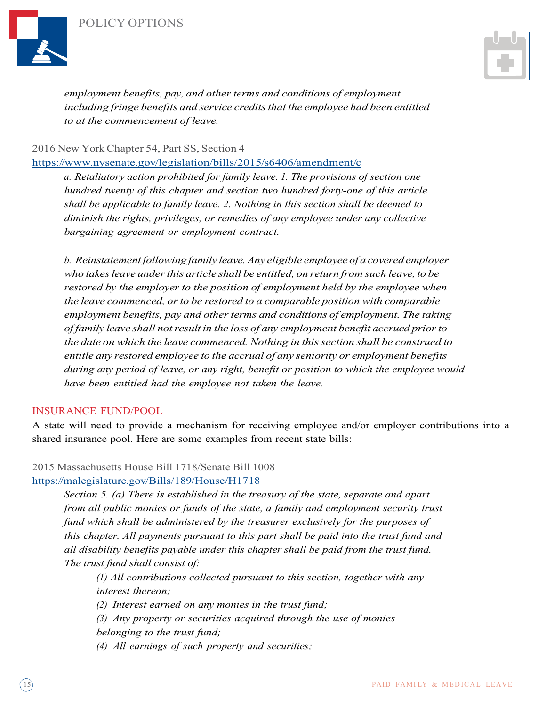



*employment benefits, pay, and other terms and conditions of employment including fringe benefits and service creditsthat the employee had been entitled to at the commencement of leave.*

#### 2016 New York Chapter 54, Part SS, Section 4

https://www.nysenate.gov/legislation/bills/2015/s6406/amendment/c

*a. Retaliatory action prohibited for family leave. 1. The provisions of section one hundred twenty of this chapter and section two hundred forty-one of this article shall be applicable to family leave. 2. Nothing in this section shall be deemed to diminish the rights, privileges, or remedies of any employee under any collective bargaining agreement or employment contract.*

*b. Reinstatement following family leave.Any eligible employee of a covered employer who takesleave underthis article shall be entitled, on return from such leave, to be restored by the employer to the position of employment held by the employee when the leave commenced, or to be restored to a comparable position with <i>comparable employment benefits, pay and other terms and conditions of employment. The taking of family leave shall notresult in the loss of any employment benefit accrued priorto the date on which the leave commenced. Nothing in thissection shall be construed to entitle any restored employee to the accrual of any seniority or employment benefits during any period of leave, or any right, benefit or position to which the employee would have been entitled had the employee not taken the leave.*

#### INSURANCE FUND/POOL

A state will need to provide a mechanism for receiving employee and/or employer contributions into a shared insurance pool. Here are some examples from recent state bills:

#### 2015 Massachusetts House Bill 1718/Senate Bill 1008

#### https://malegislature.gov/Bills/189/House/H1718

*Section 5. (a) There is established in the treasury of the state, separate and apart from all public monies or funds of the state, a family and employment security trust fund which shall be administered by the treasurer exclusively for the purposes of this chapter. All payments pursuant to this part shall be paid into the trust fund and all disability benefits payable under this chapter shall be paid from the trust fund. The trust fund shall consist of:*

*(1) All contributions collected pursuant to this section, together with any interest thereon;*

*(2) Interest earned on any monies in the trust fund;*

*(3) Any property or securities acquired through the use of monies*

*belonging to the trust fund;*

*(4) All earnings of such property and securities;*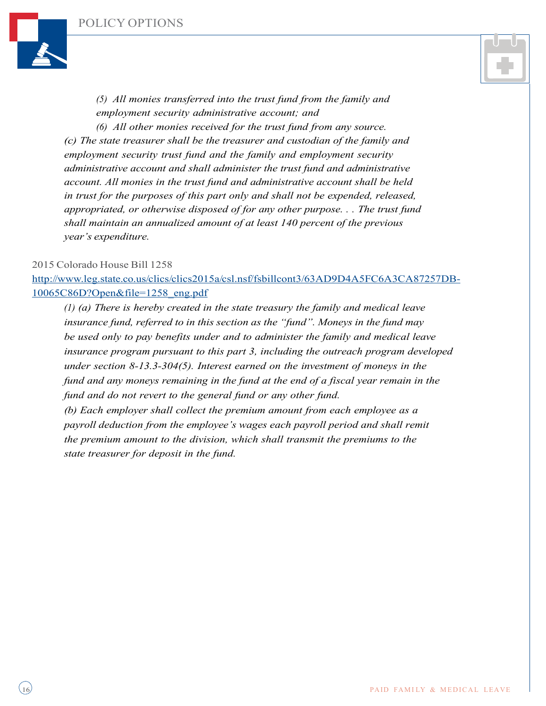



*(5) All monies transferred into the trust fund from the family and employment security administrative account; and (6) All other monies received for the trust fund from any source. (c) The state treasurer shall be the treasurer and custodian of the family and*

*employment security trust fund and the family and employment security administrative account and shall administer the trust fund and administrative account. All monies in the trust fund and administrative account shall be held in trust for the purposes of this part only and shall not be expended, released, appropriated, or otherwise disposed of for any other purpose. . . The trust fund shall maintain an annualized amount of at least 140 percent of the previous year's expenditure.*

#### 2015 Colorado House Bill 1258

http://www.leg.state.co.us/clics/clics2015a/csl.nsf/fsbillcont3/63AD9D4A5FC6A3CA87257DB-10065C86D?Open&file=1258\_eng.pdf

*(1) (a) There is hereby created in the state treasury the family and medical leave insurance fund, referred to in this section as the "fund". Moneys in the fund may be used only to pay benefits under and to administer the family and medical leave insurance program pursuant to this part 3, including the outreach program developed under section 8-13.3-304(5). Interest earned on the investment of moneys in the fund and any moneys remaining in the fund at the end of a fiscal year remain in the fund and do not revert to the general fund or any other fund.*

*(b) Each employer shall collect the premium amount from each employee as a payroll deduction from the employee's wages each payroll period and shall remit the premium amount to the division, which shall transmit the premiums to the state treasurer for deposit in the fund.*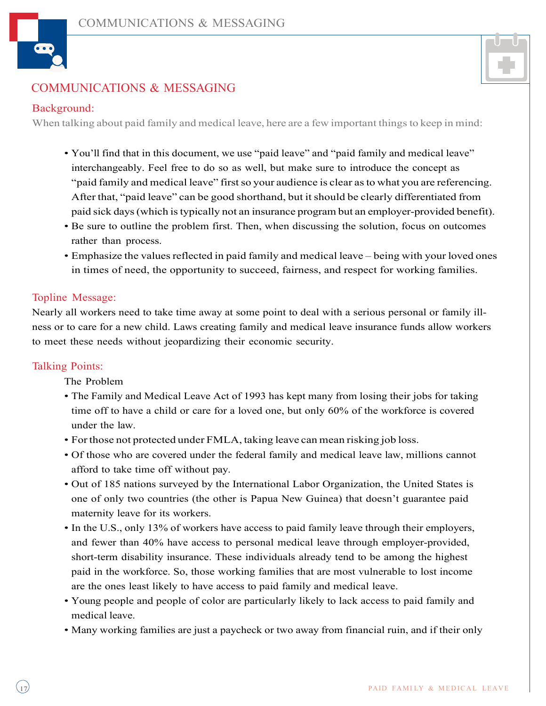



## COMMUNICATIONS & MESSAGING

## Background:

When talking about paid family and medical leave, here are a few important things to keep in mind:

- You'll find that in this document, we use "paid leave" and "paid family and medical leave" interchangeably. Feel free to do so as well, but make sure to introduce the concept as "paid family and medical leave" first so your audience is clear as to what you are referencing. After that, "paid leave" can be good shorthand, but it should be clearly differentiated from paid sick days(which istypically not an insurance program but an employer-provided benefit).
- Be sure to outline the problem first. Then, when discussing the solution, focus on outcomes rather than process.
- Emphasize the values reflected in paid family and medical leave being with your loved ones in times of need, the opportunity to succeed, fairness, and respect for working families.

## Topline Message:

Nearly all workers need to take time away at some point to deal with a serious personal or family illness or to care for a new child. Laws creating family and medical leave insurance funds allow workers to meet these needs without jeopardizing their economic security.

#### Talking Points:

The Problem

- The Family and Medical Leave Act of 1993 has kept many from losing their jobs for taking time off to have a child or care for a loved one, but only 60% of the workforce is covered under the law.
- For those not protected under FMLA, taking leave can mean risking job loss.
- Of those who are covered under the federal family and medical leave law, millions cannot afford to take time off without pay.
- Out of 185 nations surveyed by the International Labor Organization, the United States is one of only two countries (the other is Papua New Guinea) that doesn't guarantee paid maternity leave for its workers.
- In the U.S., only 13% of workers have access to paid family leave through their employers, and fewer than 40% have access to personal medical leave through employer-provided, short-term disability insurance. These individuals already tend to be among the highest paid in the workforce. So, those working families that are most vulnerable to lost income are the ones least likely to have access to paid family and medical leave.
- Young people and people of color are particularly likely to lack access to paid family and medical leave.
- Many working families are just a paycheck or two away from financial ruin, and if their only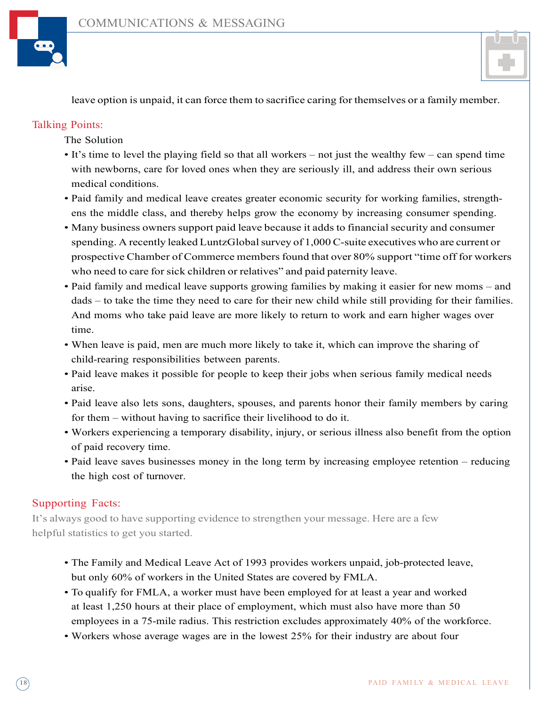



leave option is unpaid, it can force them to sacrifice caring for themselves or a family member.

## Talking Points:

The Solution

- It's time to level the playing field so that all workers not just the wealthy few can spend time with newborns, care for loved ones when they are seriously ill, and address their own serious medical conditions.
- Paid family and medical leave creates greater economic security for working families, strengthens the middle class, and thereby helps grow the economy by increasing consumer spending.
- Many business owners support paid leave because it adds to financial security and consumer spending. A recently leaked LuntzGlobal survey of 1,000 C-suite executives who are current or prospective Chamber of Commerce membersfound that over 80% support "time off for workers who need to care for sick children or relatives" and paid paternity leave.
- Paid family and medical leave supports growing families by making it easier for new moms and dads – to take the time they need to care for their new child while still providing for their families. And moms who take paid leave are more likely to return to work and earn higher wages over time.
- When leave is paid, men are much more likely to take it, which can improve the sharing of child-rearing responsibilities between parents.
- Paid leave makes it possible for people to keep their jobs when serious family medical needs arise.
- Paid leave also lets sons, daughters, spouses, and parents honor their family members by caring for them – without having to sacrifice their livelihood to do it.
- Workers experiencing a temporary disability, injury, or serious illness also benefit from the option of paid recovery time.
- Paid leave saves businesses money in the long term by increasing employee retention reducing the high cost of turnover.

## Supporting Facts:

It's always good to have supporting evidence to strengthen your message. Here are a few helpful statistics to get you started.

- The Family and Medical Leave Act of 1993 provides workers unpaid, job-protected leave, but only 60% of workers in the United States are covered by FMLA.
- To qualify for FMLA, a worker must have been employed for at least a year and worked at least 1,250 hours at their place of employment, which must also have more than 50 employees in a 75-mile radius. This restriction excludes approximately 40% of the workforce.
- Workers whose average wages are in the lowest 25% for their industry are about four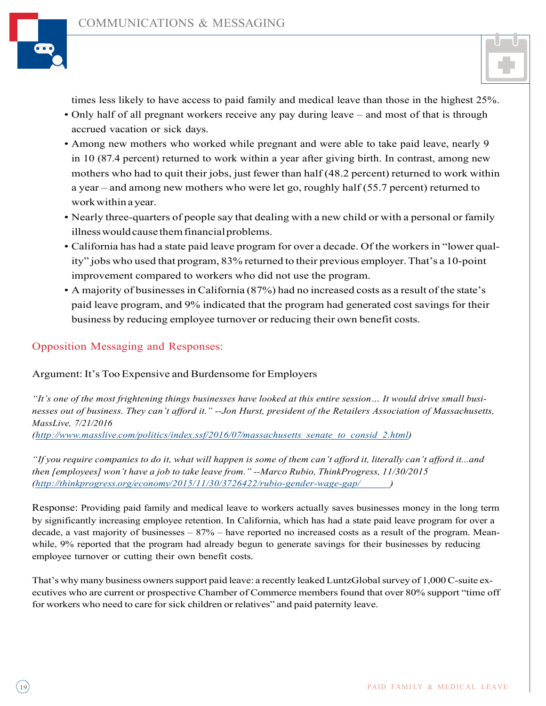



times less likely to have access to paid family and medical leave than those in the highest 25%.

- Only half of all pregnant workers receive any pay during leave and most of that is through accrued vacation or sick days.
- Among new mothers who worked while pregnant and were able to take paid leave, nearly 9 in 10 (87.4 percent) returned to work within a year after giving birth. In contrast, among new mothers who had to quit their jobs, just fewer than half (48.2 percent) returned to work within a year – and among new mothers who were let go, roughly half (55.7 percent) returned to workwithin a year.
- Nearly three-quarters of people say that dealing with a new child or with a personal or family illness would cause them financial problems.
- California has had a state paid leave program for over a decade. Of the workers in "lower quality" jobs who used that program, 83% returned to their previous employer.That's a 10-point improvement compared to workers who did not use the program.
- A majority of businessesin California (87%) had no increased costs as a result of the state's paid leave program, and 9% indicated that the program had generated cost savings for their business by reducing employee turnover or reducing their own benefit costs.

## Opposition Messaging and Responses:

#### Argument: It's Too Expensive and Burdensome for Employers

"It's one of the most frightening things businesses have looked at this entire session... It would drive small busi*nesses out of business. They can't afford it." --Jon Hurst, president of the Retailers Association of Massachusetts, MassLive, 7/21/2016* 

*(http://www.masslive.com/politics/index.ssf/2016/07/massachusetts\_senate\_to\_consid\_2.html)*

"If you require companies to do it, what will happen is some of them can't afford it, literally can't afford it...and *then [employees] won't have a job to take leave from." --Marco Rubio, ThinkProgress, 11/30/2015 (http://thinkprogress.org/economy/2015/11/30/3726422/rubio-gender-wage-gap/ )*

Response: Providing paid family and medical leave to workers actually saves businesses money in the long term by significantly increasing employee retention. In California, which has had a state paid leave program for over a decade, a vast majority of businesses  $-87%$  – have reported no increased costs as a result of the program. Meanwhile, 9% reported that the program had already begun to generate savings for their businesses by reducing employee turnover or cutting their own benefit costs.

That's why many business owners support paid leave: a recently leaked LuntzGlobal survey of 1,000 C-suite executives who are current or prospective Chamber of Commerce members found that over 80% support "time off for workers who need to care forsick children or relatives" and paid paternity leave.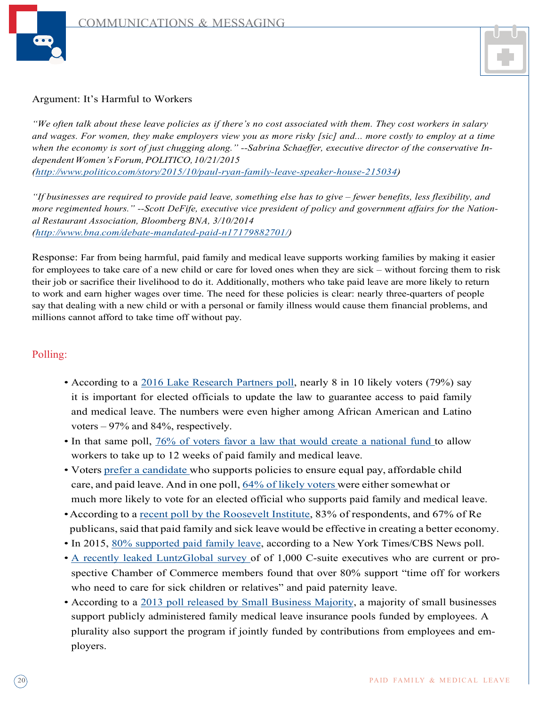



#### Argument: It's Harmful to Workers

"We often talk about these leave policies as if there's no cost associated with them. They cost workers in salary and wages. For women, they make employers view you as more risky [sic] and... more costly to employ at a time when the economy is sort of just chugging along." --Sabrina Schaeffer, executive director of the conservative In*dependentWomen'sForum,POLITICO,10/21/2015*

*(http://www.politico.com/story/2015/10/paul-ryan-family-leave-speaker-house-215034)*

*"If businesses are required to provide paid leave, something else has to give – fewer benefits, less flexibility, and* more regimented hours." --Scott DeFife, executive vice president of policy and government affairs for the Nation*al Restaurant Association, Bloomberg BNA, 3/10/2014 (http://www.bna.com/debate-mandated-paid-n17179882701/)*

Response: Far from being harmful, paid family and medical leave supports working families by making it easier for employees to take care of a new child or care for loved ones when they are sick – without forcing them to risk their job or sacrifice their livelihood to do it. Additionally, mothers who take paid leave are more likely to return to work and earn higher wages over time. The need for these policies is clear: nearly three-quarters of people say that dealing with a new child or with a personal or family illness would cause them financial problems, and millions cannot afford to take time off without pay.

### Polling:

- According to a 2016 Lake Research Partners poll, nearly 8 in 10 likely voters (79%) say it is important for elected officials to update the law to guarantee access to paid family and medical leave. The numbers were even higher among African American and Latino voters – 97% and 84%, respectively.
- In that same poll,  $76\%$  of voters favor a law that would create a national fund to allow workers to take up to 12 weeks of paid family and medical leave.
- Voters prefer a candidate who supports policies to ensure equal pay, affordable child care, and paid leave. And in one poll,  $64\%$  of likely voters were either somewhat or much more likely to vote for an elected official who supports paid family and medical leave.
- •According to a recent poll by the Roosevelt Institute, 83% of respondents, and 67% of Re publicans, said that paid family and sick leave would be effective in creating a better economy.
- In 2015, 80% supported paid family leave, according to a New York Times/CBS News poll.
- A recently leaked LuntzGlobal survey of of 1,000 C-suite executives who are current or prospective Chamber of Commerce members found that over 80% support "time off for workers who need to care for sick children or relatives" and paid paternity leave.
- According to a 2013 poll released by Small Business Majority, a majority of small businesses support publicly administered family medical leave insurance pools funded by employees. A plurality also support the program if jointly funded by contributions from employees and employers.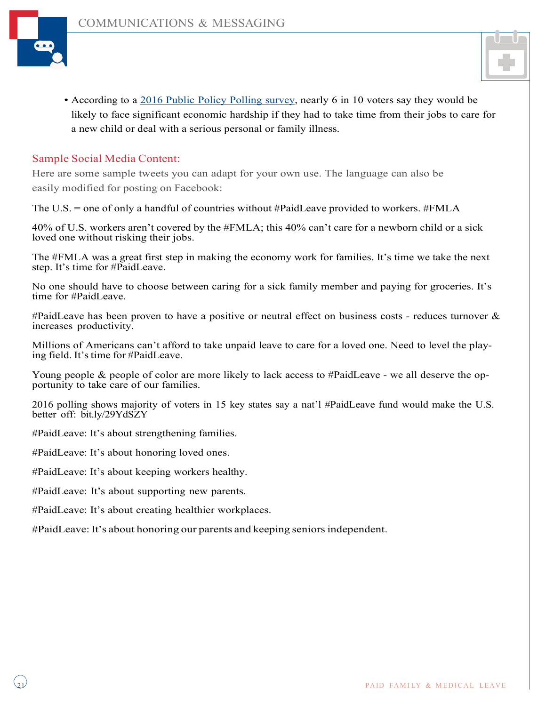



• According to a 2016 Public Policy Polling survey, nearly 6 in 10 voters say they would be likely to face significant economic hardship if they had to take time from their jobs to care for a new child or deal with a serious personal or family illness.

### Sample Social Media Content:

Here are some sample tweets you can adapt for your own use. The language can also be easily modified for posting on Facebook:

The U.S. = one of only a handful of countries without #PaidLeave provided to workers. #FMLA

40% of U.S. workers aren't covered by the #FMLA; this 40% can't care for a newborn child or a sick loved one without risking their jobs.

The #FMLA was a great first step in making the economy work for families. It's time we take the next step. It's time for #PaidLeave.

No one should have to choose between caring for a sick family member and paying for groceries. It's time for #PaidLeave.

#PaidLeave has been proven to have a positive or neutral effect on business costs - reduces turnover  $\&$ increases productivity.

Millions of Americans can't afford to take unpaid leave to care for a loved one. Need to level the playing field. It's time for #PaidLeave.

Young people & people of color are more likely to lack access to #PaidLeave - we all deserve the opportunity to take care of our families.

2016 polling shows majority of voters in 15 key states say a nat'l #PaidLeave fund would make the U.S. better off: bit.ly/29YdSZY

#PaidLeave: It's about strengthening families.

#PaidLeave: It's about honoring loved ones.

#PaidLeave: It's about keeping workers healthy.

#PaidLeave: It's about supporting new parents.

#PaidLeave: It's about creating healthier workplaces.

#PaidLeave: It's about honoring our parents and keeping seniors independent.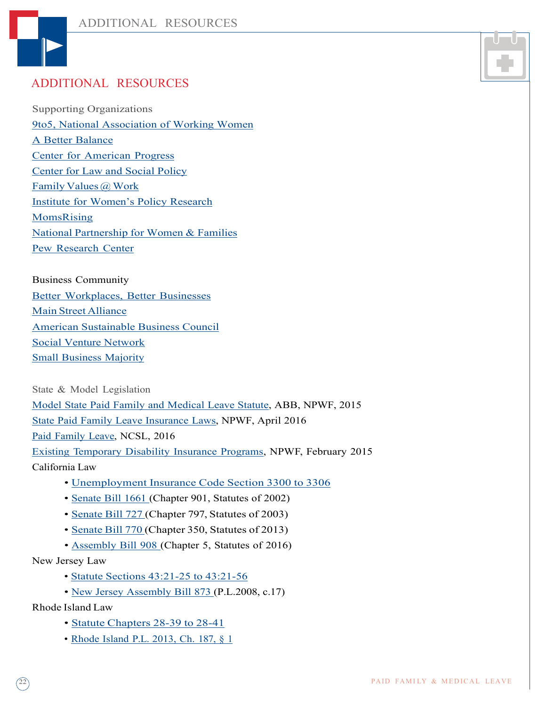

## ADDITIONAL RESOURCES

Supporting Organizations 9to5, National Association of Working Women A Better Balance Center for American Progress Center for Law and Social Policy Family Values @ Work Institute for Women's Policy Research MomsRising National Partnership for Women & Families Pew Research Center

Business Community Better Workplaces, Better Businesses Main Street Alliance American Sustainable Business Council Social Venture Network Small Business Majority

State & Model Legislation Model State Paid Family and Medical Leave Statute, ABB, NPWF, 2015 State Paid Family Leave Insurance Laws, NPWF, April 2016 Paid Family Leave, NCSL, 2016 Existing Temporary Disability Insurance Programs, NPWF, February 2015 California Law

- Unemployment Insurance Code Section 3300 to 3306
- Senate Bill 1661 (Chapter 901, Statutes of 2002)
- Senate Bill 727 (Chapter 797, Statutes of 2003)
- Senate Bill 770 (Chapter 350, Statutes of 2013)
- Assembly Bill 908 (Chapter 5, Statutes of 2016)

New Jersey Law

- Statute Sections 43:21-25 to 43:21-56
- New Jersey Assembly Bill 873 (P.L.2008, c.17)

Rhode Island Law

- Statute Chapters 28-39 to 28-41
- Rhode Island P.L. 2013, Ch. 187, § 1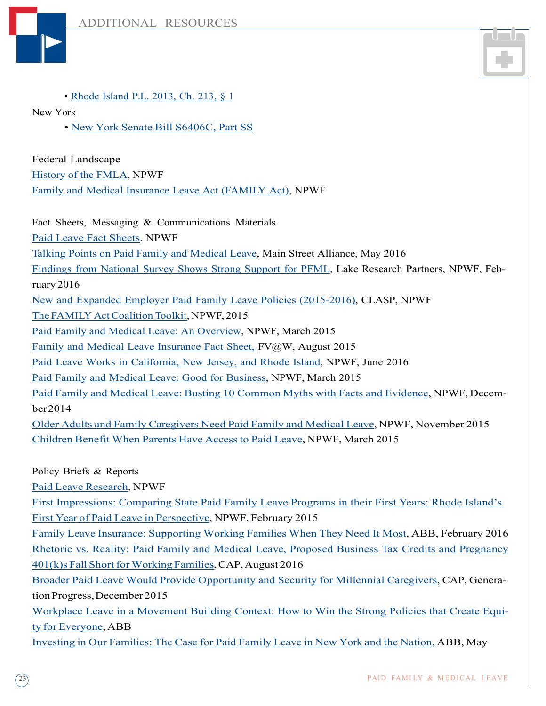



• Rhode Island P.L. 2013, Ch. 213, § 1

New York

• New York Senate Bill S6406C, Part SS

Federal Landscape

History of the FMLA, NPWF

Family and Medical Insurance Leave Act (FAMILY Act), NPWF

Fact Sheets, Messaging & Communications Materials

Paid Leave Fact Sheets, NPWF

Talking Points on Paid Family and Medical Leave, Main Street Alliance, May 2016

Findings from National Survey Shows Strong Support for PFML, Lake Research Partners, NPWF, Feb-

ruary 2016

New and Expanded Employer Paid Family Leave Policies (2015-2016), CLASP, NPWF

The FAMILY Act Coalition Toolkit, NPWF, 2015

Paid Family and Medical Leave: An Overview, NPWF, March 2015

Family and Medical Leave Insurance Fact Sheet, FV@W, August 2015

Paid Leave Works in California, New Jersey, and Rhode Island, NPWF, June 2016

Paid Family and Medical Leave: Good for Business, NPWF, March 2015

Paid Family and Medical Leave: Busting 10 Common Myths with Facts and Evidence, NPWF, December2014

Older Adults and Family Caregivers Need Paid Family and Medical Leave, NPWF, November 2015 Children Benefit When Parents Have Access to Paid Leave, NPWF, March 2015

Policy Briefs & Reports

Paid Leave Research, NPWF

First Impressions: Comparing State Paid Family Leave Programs in their First Years: Rhode Island's First Year of Paid Leave in Perspective, NPWF, February 2015

Family Leave Insurance: Supporting Working Families When They Need It Most, ABB, February 2016 Rhetoric vs. Reality: Paid Family and Medical Leave, Proposed Business Tax Credits and Pregnancy  $401(k)$ s Fall Short for Working Families, CAP, August 2016

Broader Paid Leave Would Provide Opportunity and Security for Millennial Caregivers, CAP, GenerationProgress,December2015

Workplace Leave in a Movement Building Context: How to Win the Strong Policies that Create Equity for Everyone, ABB

Investing in Our Families: The Case for Paid Family Leave in New York and the Nation, ABB, May